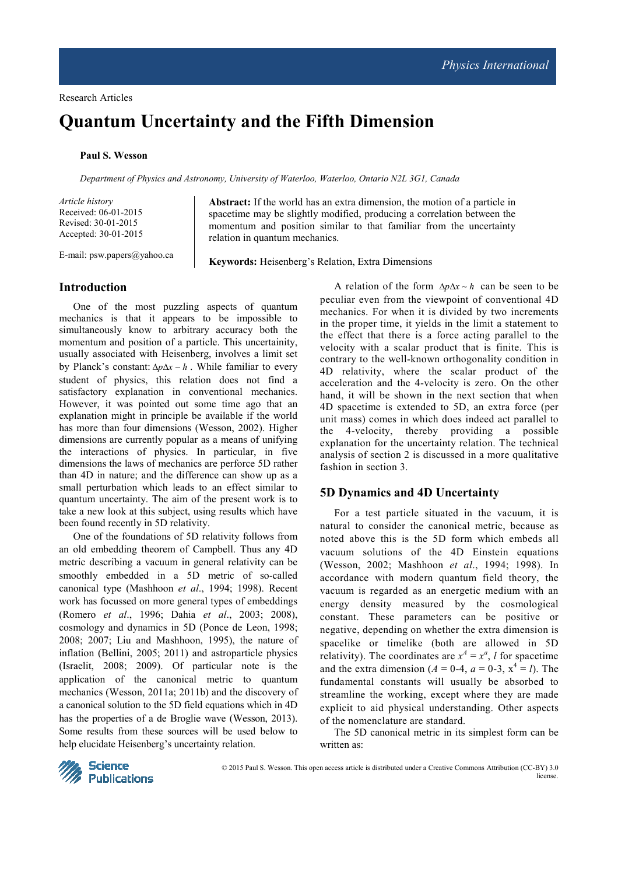# **Quantum Uncertainty and the Fifth Dimension**

### **Paul S. Wesson**

*Department of Physics and Astronomy, University of Waterloo, Waterloo, Ontario N2L 3G1, Canada* 

*Article history* Received: 06-01-2015 Revised: 30-01-2015 Accepted: 30-01-2015

E-mail: psw.papers@yahoo.ca

**Abstract:** If the world has an extra dimension, the motion of a particle in spacetime may be slightly modified, producing a correlation between the momentum and position similar to that familiar from the uncertainty relation in quantum mechanics.

**Keywords:** Heisenberg's Relation, Extra Dimensions

## **Introduction**

One of the most puzzling aspects of quantum mechanics is that it appears to be impossible to simultaneously know to arbitrary accuracy both the momentum and position of a particle. This uncertainity, usually associated with Heisenberg, involves a limit set by Planck's constant:  $Δ*p*Δ*x* ~ *h*$ . While familiar to every student of physics, this relation does not find a satisfactory explanation in conventional mechanics. However, it was pointed out some time ago that an explanation might in principle be available if the world has more than four dimensions (Wesson, 2002). Higher dimensions are currently popular as a means of unifying the interactions of physics. In particular, in five dimensions the laws of mechanics are perforce 5D rather than 4D in nature; and the difference can show up as a small perturbation which leads to an effect similar to quantum uncertainty. The aim of the present work is to take a new look at this subject, using results which have been found recently in 5D relativity.

One of the foundations of 5D relativity follows from an old embedding theorem of Campbell. Thus any 4D metric describing a vacuum in general relativity can be smoothly embedded in a 5D metric of so-called canonical type (Mashhoon *et al*., 1994; 1998). Recent work has focussed on more general types of embeddings (Romero *et al*., 1996; Dahia *et al*., 2003; 2008), cosmology and dynamics in 5D (Ponce de Leon, 1998; 2008; 2007; Liu and Mashhoon, 1995), the nature of inflation (Bellini, 2005; 2011) and astroparticle physics (Israelit, 2008; 2009). Of particular note is the application of the canonical metric to quantum mechanics (Wesson, 2011a; 2011b) and the discovery of a canonical solution to the 5D field equations which in 4D has the properties of a de Broglie wave (Wesson, 2013). Some results from these sources will be used below to help elucidate Heisenberg's uncertainty relation.

A relation of the form ∆*p*∆*x* ~ *h* can be seen to be peculiar even from the viewpoint of conventional 4D mechanics. For when it is divided by two increments in the proper time, it yields in the limit a statement to the effect that there is a force acting parallel to the velocity with a scalar product that is finite. This is contrary to the well-known orthogonality condition in 4D relativity, where the scalar product of the acceleration and the 4-velocity is zero. On the other hand, it will be shown in the next section that when 4D spacetime is extended to 5D, an extra force (per unit mass) comes in which does indeed act parallel to the 4-velocity, thereby providing a possible explanation for the uncertainty relation. The technical analysis of section 2 is discussed in a more qualitative fashion in section 3.

## **5D Dynamics and 4D Uncertainty**

For a test particle situated in the vacuum, it is natural to consider the canonical metric, because as noted above this is the 5D form which embeds all vacuum solutions of the 4D Einstein equations (Wesson, 2002; Mashhoon *et al*., 1994; 1998). In accordance with modern quantum field theory, the vacuum is regarded as an energetic medium with an energy density measured by the cosmological constant. These parameters can be positive or negative, depending on whether the extra dimension is spacelike or timelike (both are allowed in 5D relativity). The coordinates are  $x^A = x^a$ , *l* for spacetime and the extra dimension ( $A = 0-4$ ,  $a = 0-3$ ,  $x^4 = I$ ). The fundamental constants will usually be absorbed to streamline the working, except where they are made explicit to aid physical understanding. Other aspects of the nomenclature are standard.

The 5D canonical metric in its simplest form can be written as:

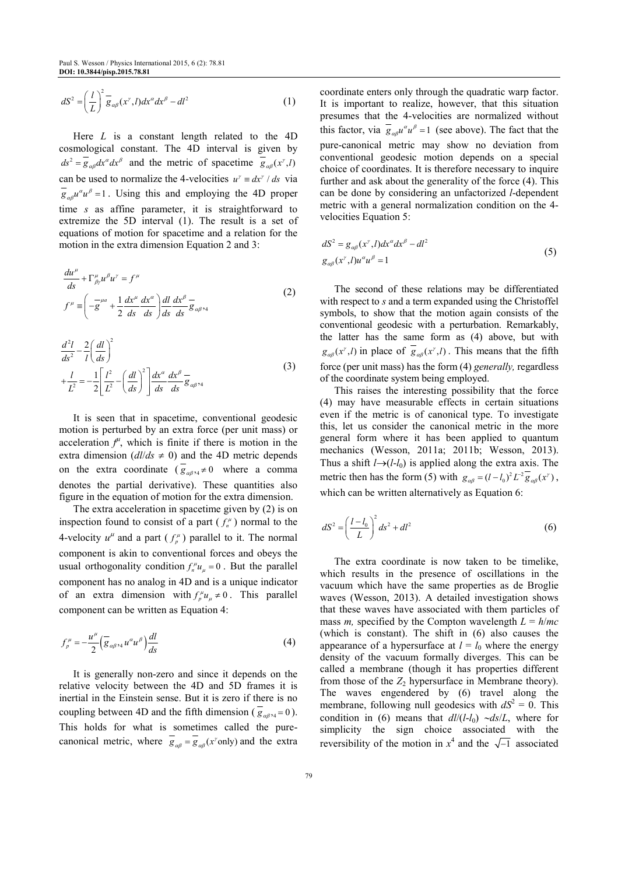$$
dS^{2} = \left(\frac{l}{L}\right)^{2} \overline{g}_{\alpha\beta}(x^{\gamma}, l) dx^{\alpha} dx^{\beta} - dl^{2}
$$
 (1)

Here *L* is a constant length related to the 4D cosmological constant. The 4D interval is given by  $ds^2 = g_{\alpha\beta} dx^{\alpha} dx^{\beta}$  and the metric of spacetime  $g_{\alpha\beta}(x^{\gamma}, l)$ can be used to normalize the 4-velocities  $u^{\gamma} = dx^{\gamma} / ds$  via  $g_{\alpha\beta}u^{\alpha}u^{\beta} = 1$ . Using this and employing the 4D proper time *s* as affine parameter, it is straightforward to extremize the 5D interval (1). The result is a set of equations of motion for spacetime and a relation for the motion in the extra dimension Equation 2 and 3:

$$
\frac{du^{\mu}}{ds} + \Gamma^{\mu}_{\beta\gamma} u^{\beta} u^{\gamma} = f^{\mu}
$$
\n
$$
f^{\mu} = \left(-\frac{\partial u^{\mu}}{g} + \frac{1}{2}\frac{dx^{\mu}}{ds}\frac{dx^{\alpha}}{ds}\right) \frac{dl}{ds} \frac{dx^{\beta}}{ds} - \frac{dl}{g} \frac{dx^{\beta}}{g_{\alpha\beta}} \frac{dt}{ds}
$$
\n(2)

$$
\frac{d^2l}{ds^2} - \frac{2}{l} \left(\frac{dl}{ds}\right)^2
$$
  
+ 
$$
\frac{l}{L^2} = -\frac{1}{2} \left[\frac{l^2}{L^2} - \left(\frac{dl}{ds}\right)^2\right] \frac{dx^\alpha}{ds} \frac{dx^\beta}{ds} = 0
$$
 (3)

It is seen that in spacetime, conventional geodesic motion is perturbed by an extra force (per unit mass) or acceleration  $f^{\mu}$ , which is finite if there is motion in the extra dimension  $\left(\frac{dl}{ds} \neq 0\right)$  and the 4D metric depends on the extra coordinate ( $g_{\alpha\beta\gamma4} \neq 0$  where a comma denotes the partial derivative). These quantities also figure in the equation of motion for the extra dimension.

The extra acceleration in spacetime given by (2) is on inspection found to consist of a part  $(f_n^{\mu})$  normal to the 4-velocity  $u^{\mu}$  and a part  $(f^{\mu}_{p})$  parallel to it. The normal component is akin to conventional forces and obeys the usual orthogonality condition  $f_n^{\mu}u_{\mu} = 0$ . But the parallel component has no analog in 4D and is a unique indicator of an extra dimension with  $f_p^{\mu}u_{\mu} \neq 0$ . This parallel component can be written as Equation 4:

$$
f_{p}^{\mu} = -\frac{u^{\mu}}{2} \left( \overline{g}_{\alpha\beta\gamma4} u^{\alpha} u^{\beta} \right) \frac{dl}{ds}
$$
 (4)

It is generally non-zero and since it depends on the relative velocity between the 4D and 5D frames it is inertial in the Einstein sense. But it is zero if there is no coupling between 4D and the fifth dimension ( $g_{\alpha\beta\gamma4} = 0$ ). This holds for what is sometimes called the purecanonical metric, where  $g_{\alpha\beta} = g_{\alpha\beta}(x^{\gamma} \text{ only})$  and the extra

coordinate enters only through the quadratic warp factor. It is important to realize, however, that this situation presumes that the 4-velocities are normalized without this factor, via  $g_{\alpha\beta}u^{\alpha}u^{\beta} = 1$  (see above). The fact that the pure-canonical metric may show no deviation from conventional geodesic motion depends on a special choice of coordinates. It is therefore necessary to inquire further and ask about the generality of the force (4). This can be done by considering an unfactorized *l*-dependent metric with a general normalization condition on the 4 velocities Equation 5:

$$
dS2 = g\alpha\beta(x\gamma, l)dx\alphadx\beta - dl2
$$
  
g<sub>\alpha\beta</sub>(x<sup>\gamma</sup>, l)u<sup>\alpha</sup>u<sup>\beta</sup> = 1 (5)

The second of these relations may be differentiated with respect to *s* and a term expanded using the Christoffel symbols, to show that the motion again consists of the conventional geodesic with a perturbation. Remarkably, the latter has the same form as (4) above, but with  $g_{\alpha\beta}(x^r, l)$  in place of  $g_{\alpha\beta}(x^r, l)$ . This means that the fifth force (per unit mass) has the form (4) *generally,* regardless of the coordinate system being employed.

This raises the interesting possibility that the force (4) may have measurable effects in certain situations even if the metric is of canonical type. To investigate this, let us consider the canonical metric in the more general form where it has been applied to quantum mechanics (Wesson, 2011a; 2011b; Wesson, 2013). Thus a shift  $l \rightarrow (l-l_0)$  is applied along the extra axis. The metric then has the form (5) with  $g_{\alpha\beta} = (l - l_0)^2 L^{-2} \overline{g}_{\alpha\beta}(x^{\gamma})$ , which can be written alternatively as Equation 6:

$$
dS^{2} = \left(\frac{l - l_{0}}{L}\right)^{2} ds^{2} + dl^{2}
$$
 (6)

The extra coordinate is now taken to be timelike, which results in the presence of oscillations in the vacuum which have the same properties as de Broglie waves (Wesson, 2013). A detailed investigation shows that these waves have associated with them particles of mass *m*, specified by the Compton wavelength  $L = h/mc$ (which is constant). The shift in (6) also causes the appearance of a hypersurface at  $l = l_0$  where the energy density of the vacuum formally diverges. This can be called a membrane (though it has properties different from those of the  $Z_2$  hypersurface in Membrane theory). The waves engendered by (6) travel along the membrane, following null geodesics with  $dS^2 = 0$ . This condition in (6) means that *dl*/(*l*-*l*0) ∼*ds*/*L*, where for simplicity the sign choice associated with the reversibility of the motion in  $x^4$  and the  $\sqrt{-1}$  associated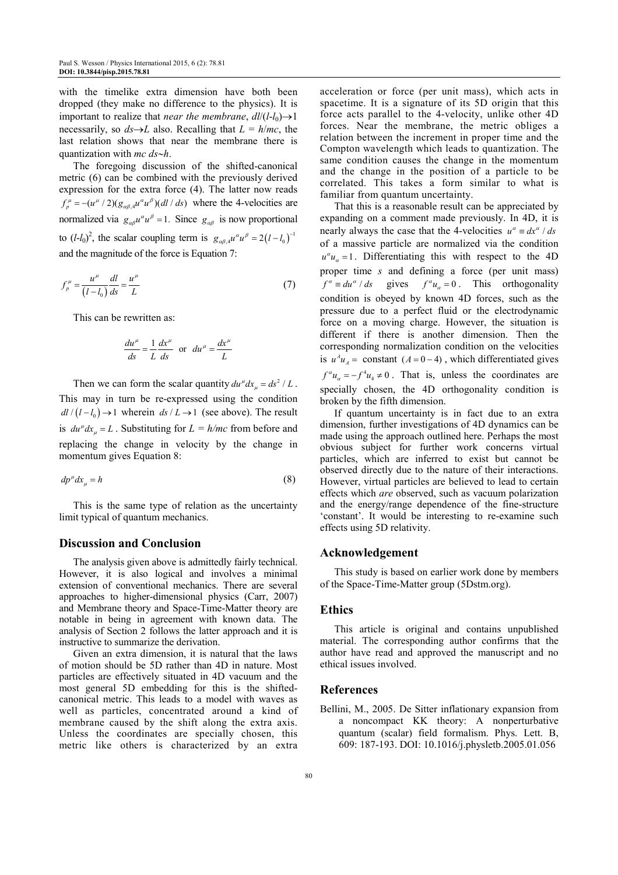with the timelike extra dimension have both been dropped (they make no difference to the physics). It is important to realize that *near* the membrane,  $dl/(l-l_0) \rightarrow 1$ necessarily, so  $ds \rightarrow L$  also. Recalling that  $L = h/mc$ , the last relation shows that near the membrane there is quantization with *mc ds*∼*h*.

The foregoing discussion of the shifted-canonical metric (6) can be combined with the previously derived expression for the extra force (4). The latter now reads  $f_{p}^{\mu} = -(u^{\mu}/2)(g_{\alpha\beta,4}u^{\alpha}u^{\beta})(dl/ds)$  where the 4-velocities are normalized via  $g_{\alpha\beta}u^{\alpha}u^{\beta} = 1$ . Since  $g_{\alpha\beta}$  is now proportional to  $(l-l_0)^2$ , the scalar coupling term is  $g_{\alpha\beta,4}u^{\alpha}u^{\beta} = 2(l-l_0)^{-1}$ and the magnitude of the force is Equation 7:

$$
f_p^{\mu} = \frac{u^{\mu}}{(l - l_0)} \frac{dl}{ds} = \frac{u^{\mu}}{L}
$$
 (7)

This can be rewritten as:

$$
\frac{du^{\mu}}{ds} = \frac{1}{L} \frac{dx^{\mu}}{ds} \text{ or } du^{\mu} = \frac{dx^{\mu}}{L}
$$

Then we can form the scalar quantity  $du^{\mu} dx_{\mu} = ds^2 / L$ . This may in turn be re-expressed using the condition  $dl / (l - l_0) \rightarrow 1$  wherein  $ds / L \rightarrow 1$  (see above). The result is  $du^{\mu} dx_{\mu} = L$ . Substituting for  $L = h/mc$  from before and replacing the change in velocity by the change in momentum gives Equation 8:

$$
dp^{\mu}dx_{\mu} = h \tag{8}
$$

This is the same type of relation as the uncertainty limit typical of quantum mechanics.

## **Discussion and Conclusion**

The analysis given above is admittedly fairly technical. However, it is also logical and involves a minimal extension of conventional mechanics. There are several approaches to higher-dimensional physics (Carr, 2007) and Membrane theory and Space-Time-Matter theory are notable in being in agreement with known data. The analysis of Section 2 follows the latter approach and it is instructive to summarize the derivation.

Given an extra dimension, it is natural that the laws of motion should be 5D rather than 4D in nature. Most particles are effectively situated in 4D vacuum and the most general 5D embedding for this is the shiftedcanonical metric. This leads to a model with waves as well as particles, concentrated around a kind of membrane caused by the shift along the extra axis. Unless the coordinates are specially chosen, this metric like others is characterized by an extra acceleration or force (per unit mass), which acts in spacetime. It is a signature of its 5D origin that this force acts parallel to the 4-velocity, unlike other 4D forces. Near the membrane, the metric obliges a relation between the increment in proper time and the Compton wavelength which leads to quantization. The same condition causes the change in the momentum and the change in the position of a particle to be correlated. This takes a form similar to what is familiar from quantum uncertainty.

That this is a reasonable result can be appreciated by expanding on a comment made previously. In 4D, it is nearly always the case that the 4-velocities  $u^{\alpha} \equiv dx^{\alpha} / ds$ of a massive particle are normalized via the condition  $u^{\alpha}u_{\alpha} = 1$ . Differentiating this with respect to the 4D proper time *s* and defining a force (per unit mass)  $f^{\alpha} \equiv du^{\alpha} / ds$  gives  $f^{\alpha} u_{\alpha} = 0$ . This orthogonality condition is obeyed by known 4D forces, such as the pressure due to a perfect fluid or the electrodynamic force on a moving charge. However, the situation is different if there is another dimension. Then the corresponding normalization condition on the velocities is  $u^4u_A$  = constant ( $A = 0 - 4$ ), which differentiated gives  $f^{\alpha}u_{\alpha} = -f^4u_4 \neq 0$ . That is, unless the coordinates are specially chosen, the 4D orthogonality condition is broken by the fifth dimension.

If quantum uncertainty is in fact due to an extra dimension, further investigations of 4D dynamics can be made using the approach outlined here. Perhaps the most obvious subject for further work concerns virtual particles, which are inferred to exist but cannot be observed directly due to the nature of their interactions. However, virtual particles are believed to lead to certain effects which *are* observed, such as vacuum polarization and the energy/range dependence of the fine-structure 'constant'. It would be interesting to re-examine such effects using 5D relativity.

#### **Acknowledgement**

This study is based on earlier work done by members of the Space-Time-Matter group (5Dstm.org).

#### **Ethics**

This article is original and contains unpublished material. The corresponding author confirms that the author have read and approved the manuscript and no ethical issues involved.

#### **References**

Bellini, M., 2005. De Sitter inflationary expansion from a noncompact KK theory: A nonperturbative quantum (scalar) field formalism. Phys. Lett. B, 609: 187-193. DOI: 10.1016/j.physletb.2005.01.056